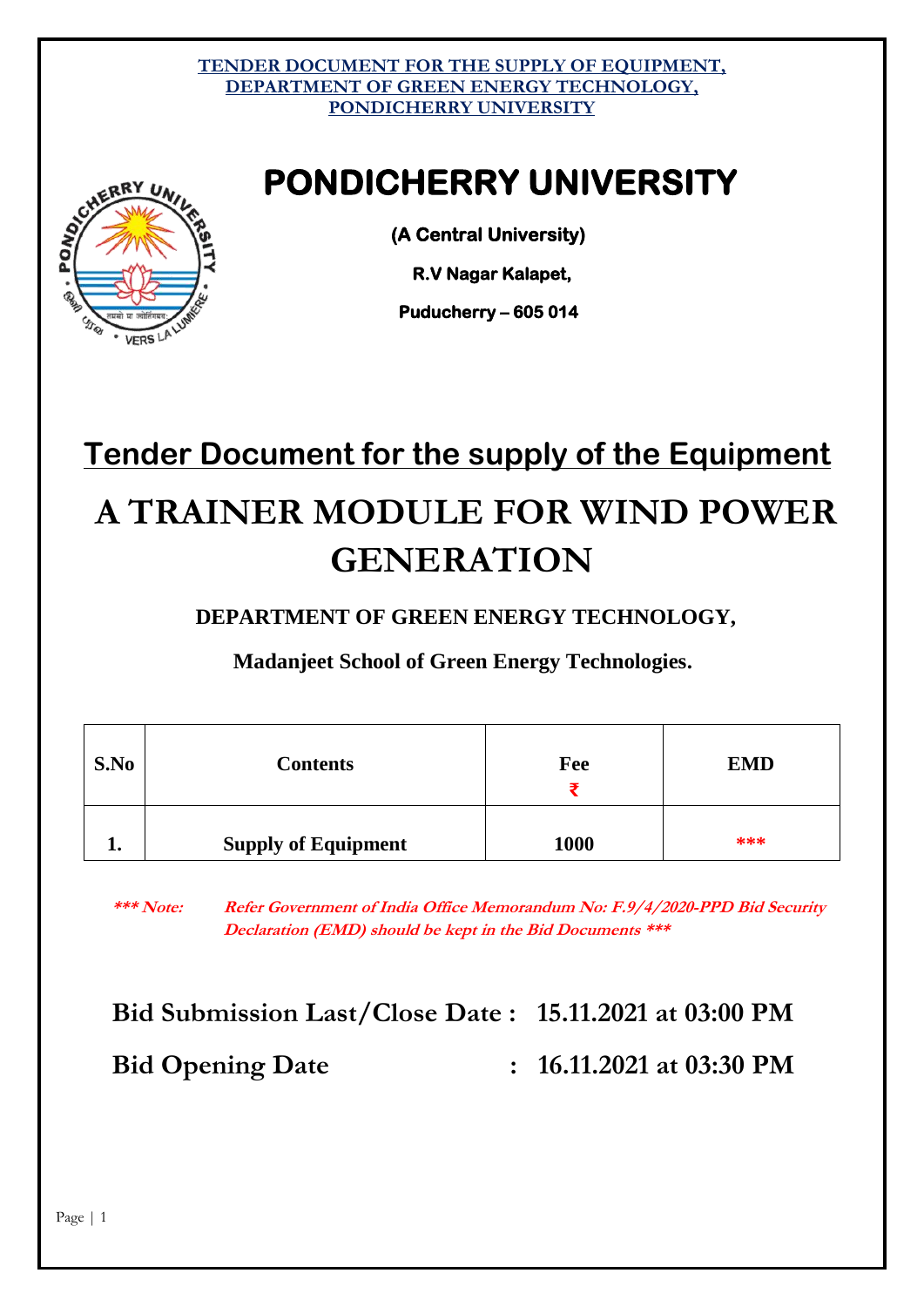# **PONDICHERRY UNIVERSITY**



 **R.V Nagar Kalapet,** 

 **Puducherry – 605 014** 

# **Tender Document for the supply of the Equipment A TRAINER MODULE FOR WIND POWER GENERATION**

**DEPARTMENT OF GREEN ENERGY TECHNOLOGY,**

**Madanjeet School of Green Energy Technologies.**

| S.No | <b>Contents</b>            | Fee  | <b>EMD</b> |
|------|----------------------------|------|------------|
| ≖∙   | <b>Supply of Equipment</b> | 1000 | ***        |

**\*\*\* Note: Refer Government of India Office Memorandum No: F.9/4/2020-PPD Bid Security Declaration (EMD) should be kept in the Bid Documents \*\*\***

# **Bid Submission Last/Close Date : 15.11.2021 at 03:00 PM Bid Opening Date : 16.11.2021 at 03:30 PM**

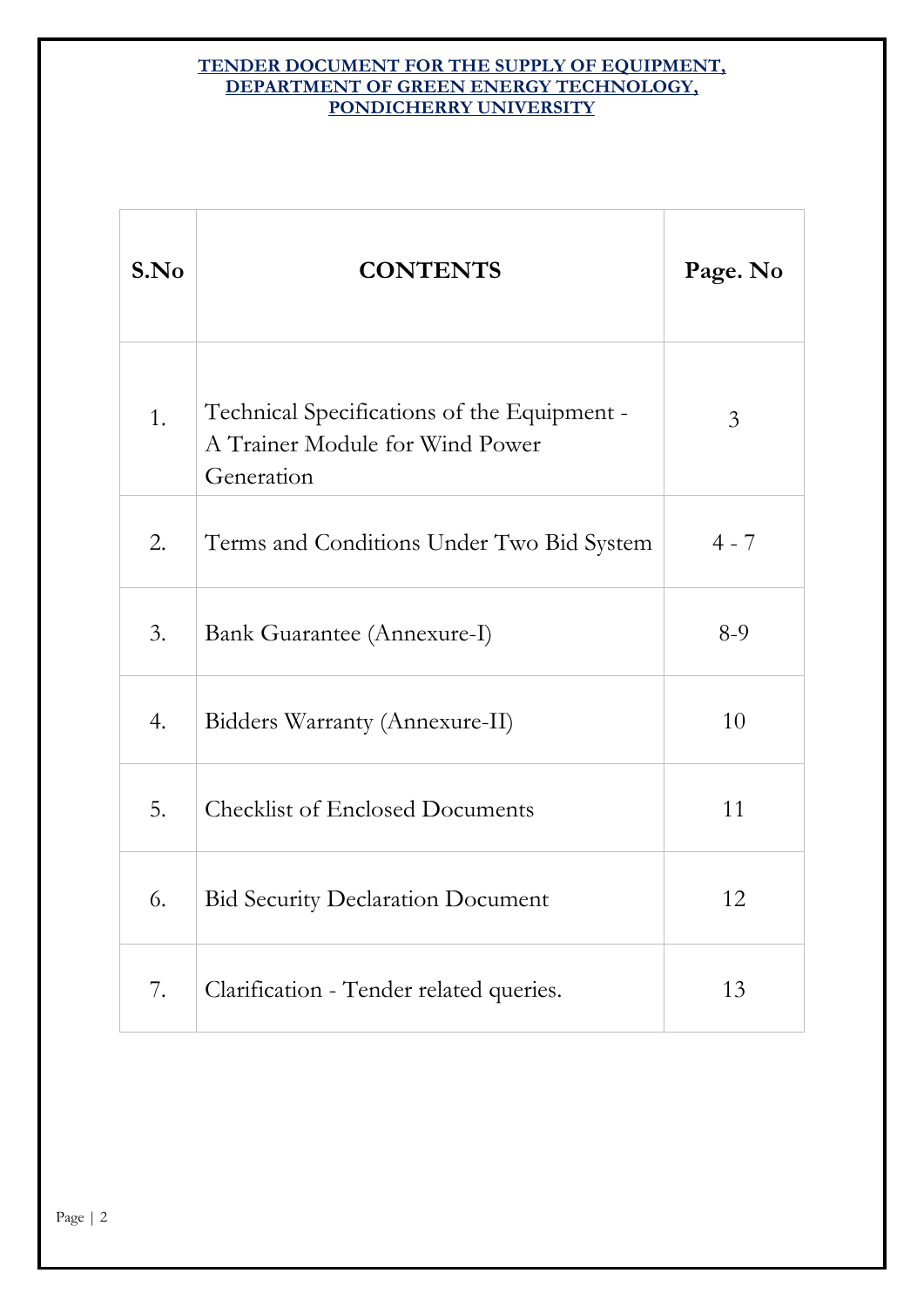| S.No | <b>CONTENTS</b>                                                                              | Page. No |
|------|----------------------------------------------------------------------------------------------|----------|
| 1.   | Technical Specifications of the Equipment -<br>A Trainer Module for Wind Power<br>Generation | 3        |
| 2.   | Terms and Conditions Under Two Bid System                                                    | $4 - 7$  |
| 3.   | Bank Guarantee (Annexure-I)                                                                  | $8-9$    |
| 4.   | Bidders Warranty (Annexure-II)                                                               | 10       |
| 5.   | <b>Checklist of Enclosed Documents</b>                                                       | 11       |
| 6.   | <b>Bid Security Declaration Document</b>                                                     | 12       |
| 7.   | Clarification - Tender related queries.                                                      | 13       |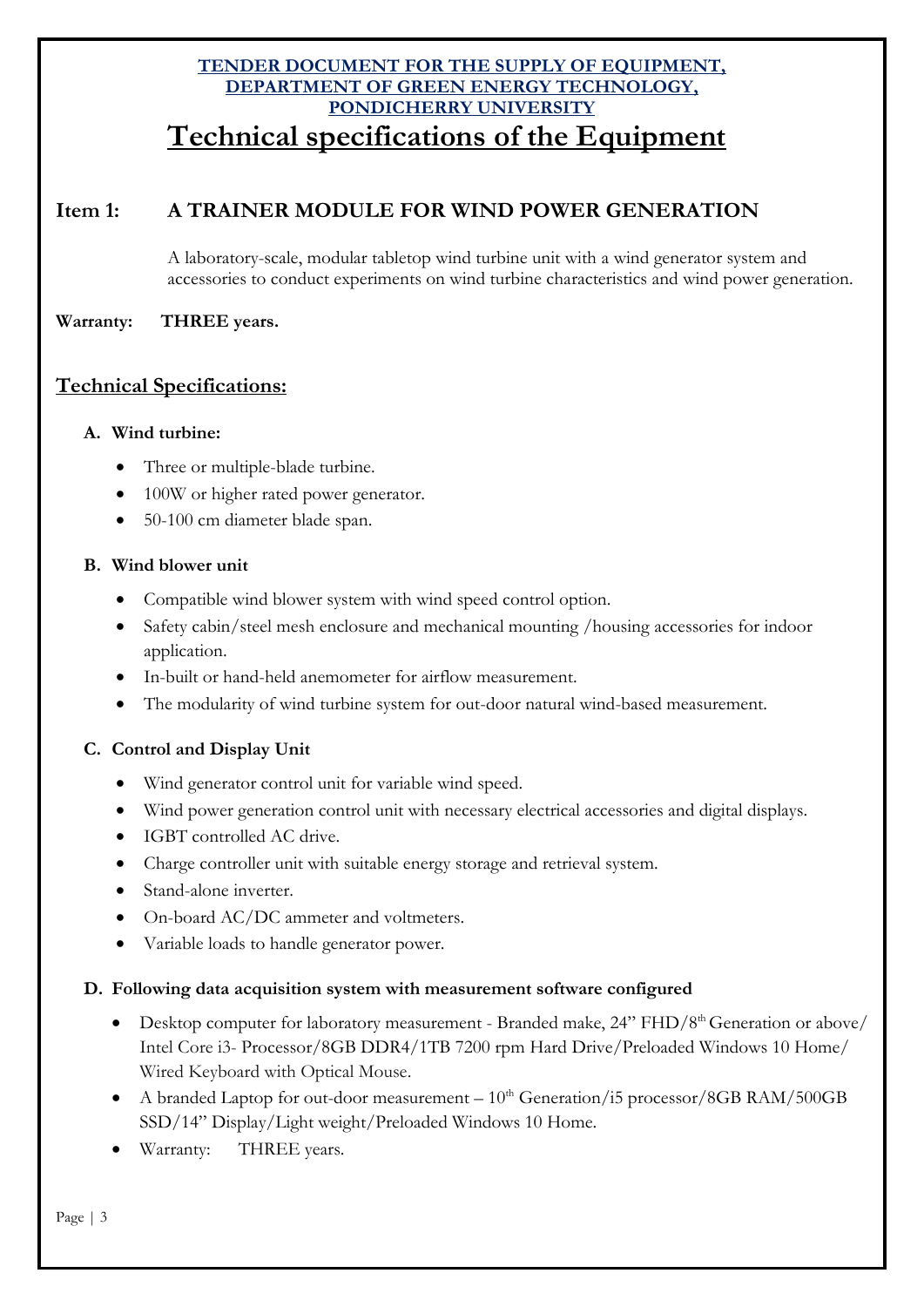### **TENDER DOCUMENT FOR THE SUPPLY OF EQUIPMENT, DEPARTMENT OF GREEN ENERGY TECHNOLOGY, PONDICHERRY UNIVERSITY Technical specifications of the Equipment**

### **Item 1: A TRAINER MODULE FOR WIND POWER GENERATION**

A laboratory-scale, modular tabletop wind turbine unit with a wind generator system and accessories to conduct experiments on wind turbine characteristics and wind power generation.

#### **Warranty: THREE years.**

#### **Technical Specifications:**

#### **A. Wind turbine:**

- Three or multiple-blade turbine.
- 100W or higher rated power generator.
- 50-100 cm diameter blade span.

#### **B. Wind blower unit**

- Compatible wind blower system with wind speed control option.
- Safety cabin/steel mesh enclosure and mechanical mounting /housing accessories for indoor application.
- In-built or hand-held anemometer for airflow measurement.
- The modularity of wind turbine system for out-door natural wind-based measurement.

#### **C. Control and Display Unit**

- Wind generator control unit for variable wind speed.
- Wind power generation control unit with necessary electrical accessories and digital displays.
- IGBT controlled AC drive.
- Charge controller unit with suitable energy storage and retrieval system.
- Stand-alone inverter.
- On-board AC/DC ammeter and voltmeters.
- Variable loads to handle generator power.

#### **D. Following data acquisition system with measurement software configured**

- Desktop computer for laboratory measurement Branded make,  $24$ " FHD/8<sup>th</sup> Generation or above/ Intel Core i3- Processor/8GB DDR4/1TB 7200 rpm Hard Drive/Preloaded Windows 10 Home/ Wired Keyboard with Optical Mouse.
- A branded Laptop for out-door measurement  $10^{th}$  Generation/i5 processor/8GB RAM/500GB SSD/14" Display/Light weight/Preloaded Windows 10 Home.
- Warranty: THREE years.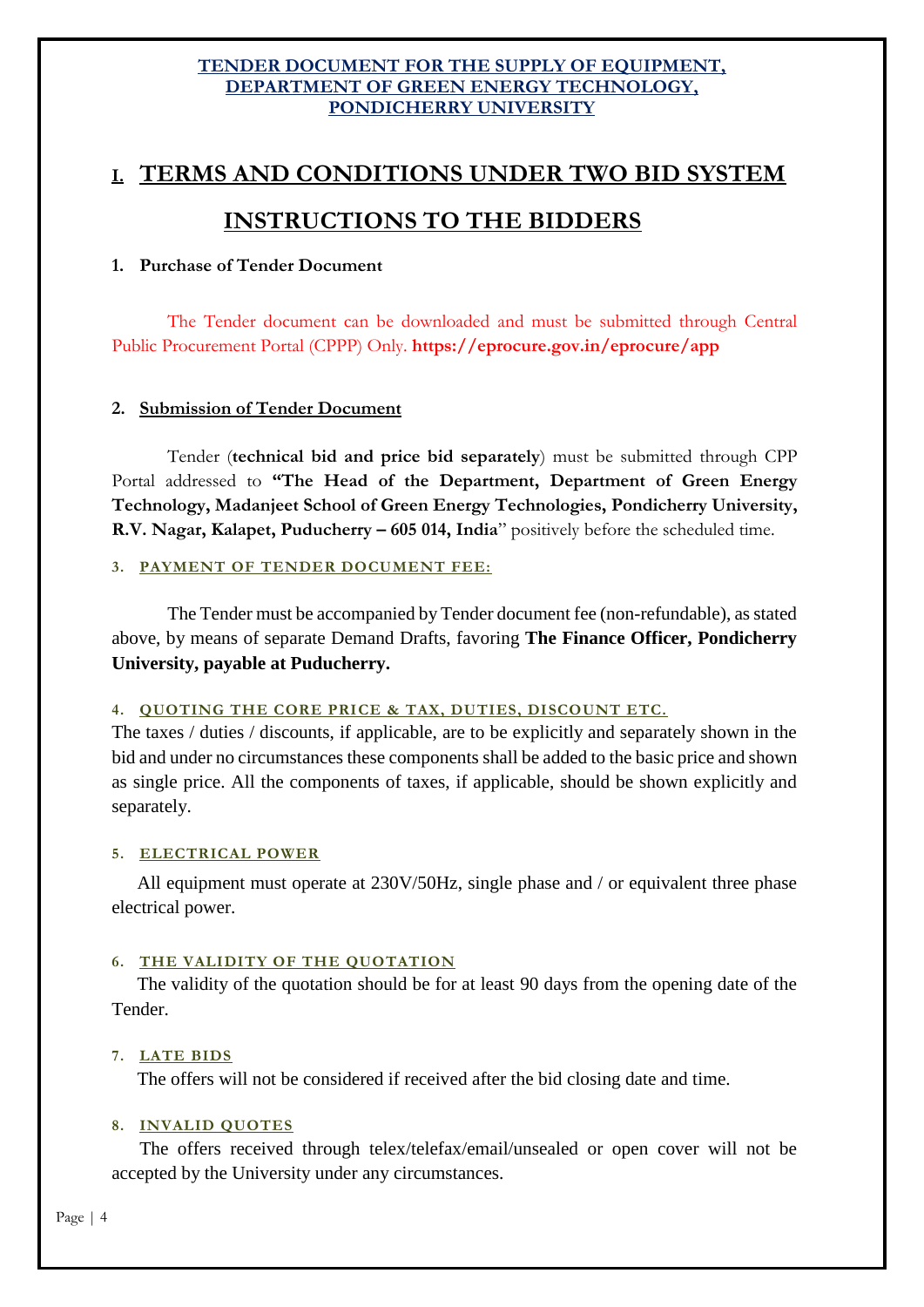# **I. TERMS AND CONDITIONS UNDER TWO BID SYSTEM**

## **INSTRUCTIONS TO THE BIDDERS**

#### **1. Purchase of Tender Document**

The Tender document can be downloaded and must be submitted through Central Public Procurement Portal (CPPP) Only. **https://eprocure.gov.in/eprocure/app**

#### **2. Submission of Tender Document**

Tender (**technical bid and price bid separately**) must be submitted through CPP Portal addressed to **"The Head of the Department, Department of Green Energy Technology, Madanjeet School of Green Energy Technologies, Pondicherry University, R.V. Nagar, Kalapet, Puducherry – 605 014, India**" positively before the scheduled time.

#### **3. PAYMENT OF TENDER DOCUMENT FEE:**

The Tender must be accompanied by Tender document fee (non-refundable), as stated above, by means of separate Demand Drafts, favoring **The Finance Officer, Pondicherry University, payable at Puducherry.**

#### **4. QUOTING THE CORE PRICE & TAX, DUTIES, DISCOUNT ETC.**

The taxes / duties / discounts, if applicable, are to be explicitly and separately shown in the bid and under no circumstances these components shall be added to the basic price and shown as single price. All the components of taxes, if applicable, should be shown explicitly and separately.

#### **5. ELECTRICAL POWER**

All equipment must operate at 230V/50Hz, single phase and / or equivalent three phase electrical power.

#### **6. THE VALIDITY OF THE QUOTATION**

The validity of the quotation should be for at least 90 days from the opening date of the Tender.

#### **7. LATE BIDS**

The offers will not be considered if received after the bid closing date and time.

#### **8. INVALID QUOTES**

The offers received through telex/telefax/email/unsealed or open cover will not be accepted by the University under any circumstances.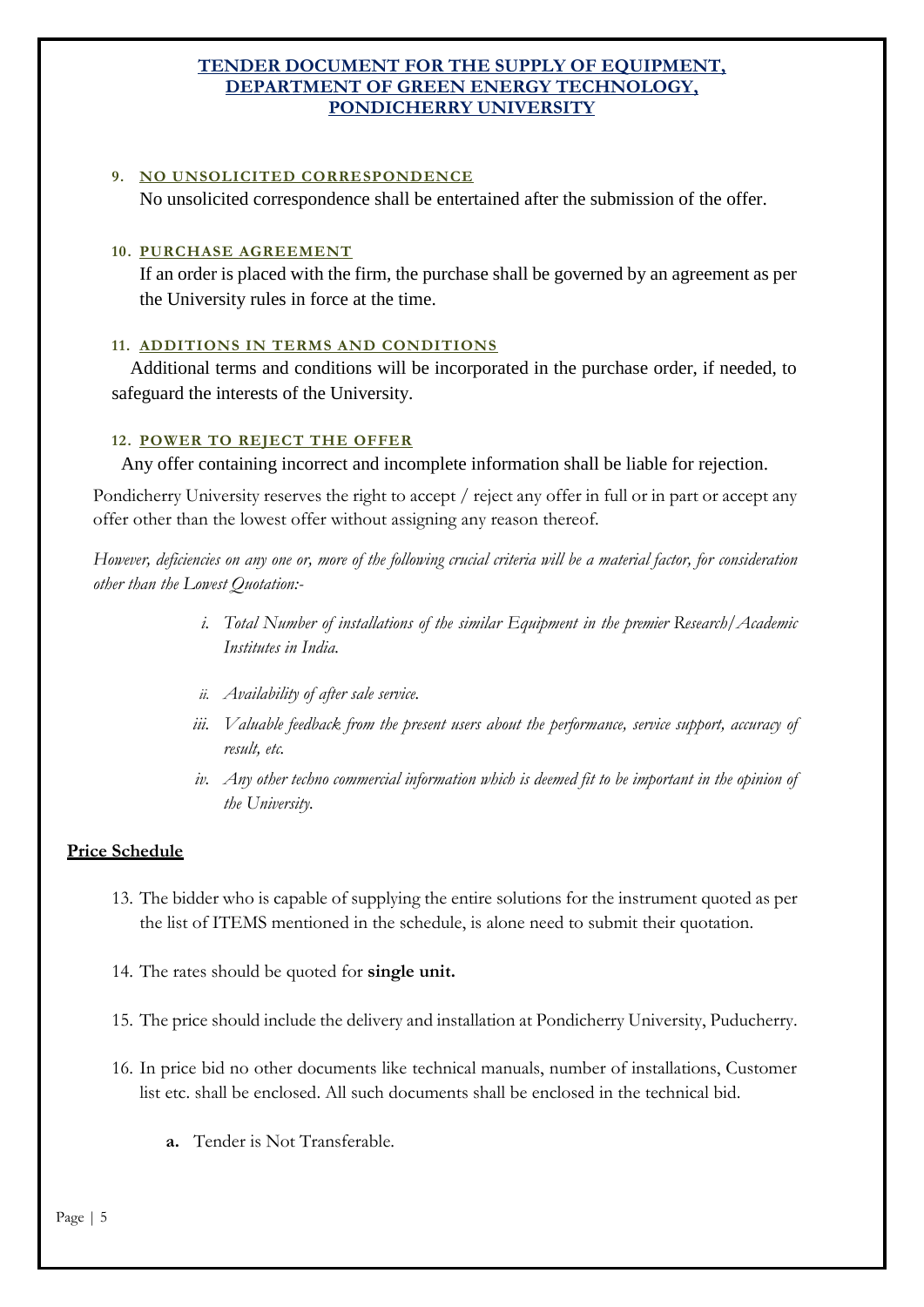#### **9. NO UNSOLICITED CORRESPONDENCE**

No unsolicited correspondence shall be entertained after the submission of the offer.

#### **10. PURCHASE AGREEMENT**

If an order is placed with the firm, the purchase shall be governed by an agreement as per the University rules in force at the time.

#### **11. ADDITIONS IN TERMS AND CONDITIONS**

Additional terms and conditions will be incorporated in the purchase order, if needed, to safeguard the interests of the University.

#### **12. POWER TO REJECT THE OFFER**

Any offer containing incorrect and incomplete information shall be liable for rejection.

Pondicherry University reserves the right to accept / reject any offer in full or in part or accept any offer other than the lowest offer without assigning any reason thereof.

*However, deficiencies on any one or, more of the following crucial criteria will be a material factor, for consideration other than the Lowest Quotation:-*

- *i. Total Number of installations of the similar Equipment in the premier Research/Academic Institutes in India.*
- *ii. Availability of after sale service.*
- *iii. Valuable feedback from the present users about the performance, service support, accuracy of result, etc.*
- *iv. Any other techno commercial information which is deemed fit to be important in the opinion of the University.*

#### **Price Schedule**

- 13. The bidder who is capable of supplying the entire solutions for the instrument quoted as per the list of ITEMS mentioned in the schedule, is alone need to submit their quotation.
- 14. The rates should be quoted for **single unit.**
- 15. The price should include the delivery and installation at Pondicherry University, Puducherry.
- 16. In price bid no other documents like technical manuals, number of installations, Customer list etc. shall be enclosed. All such documents shall be enclosed in the technical bid.
	- **a.** Tender is Not Transferable.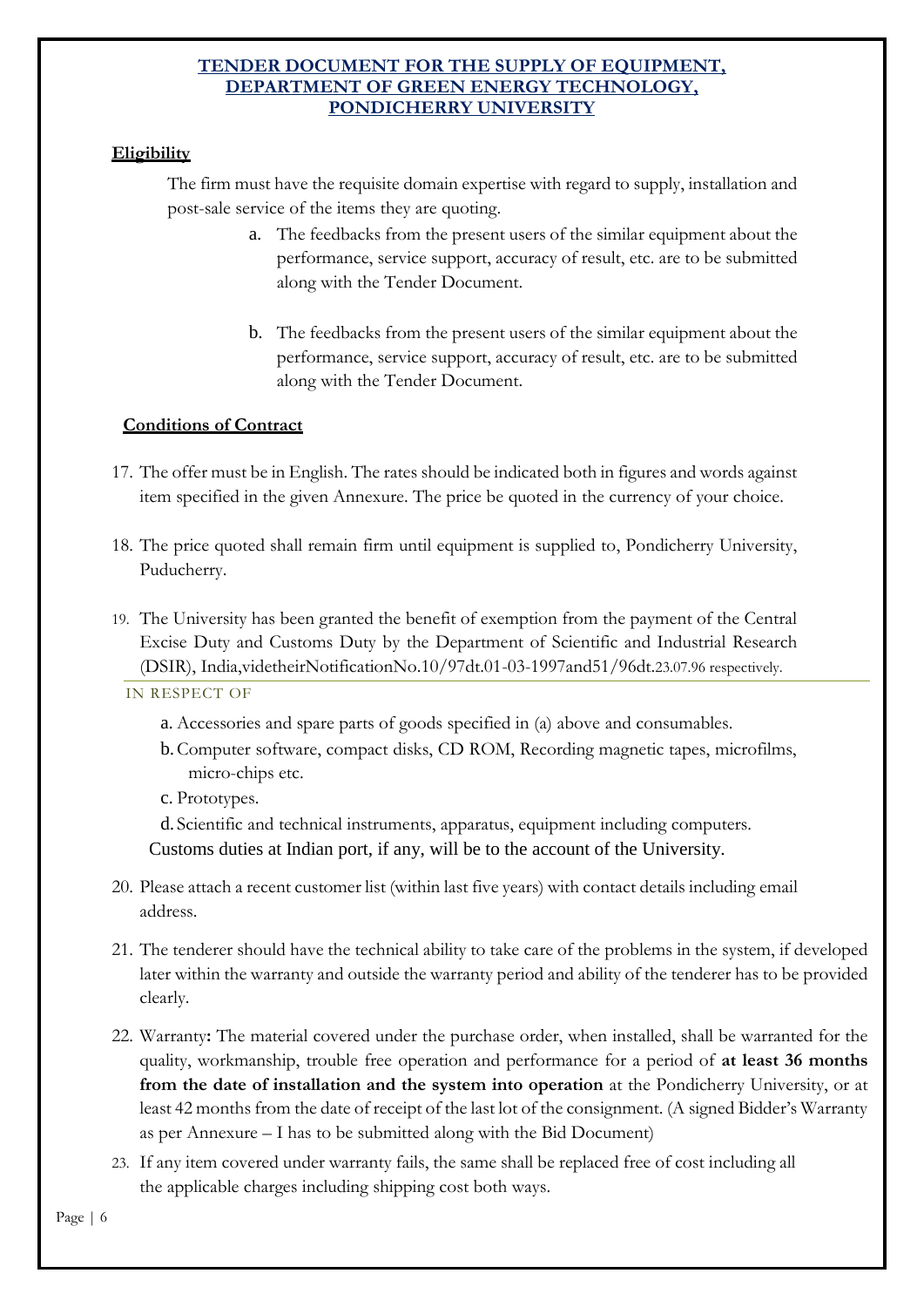#### **Eligibility**

The firm must have the requisite domain expertise with regard to supply, installation and post-sale service of the items they are quoting.

- a. The feedbacks from the present users of the similar equipment about the performance, service support, accuracy of result, etc. are to be submitted along with the Tender Document.
- b. The feedbacks from the present users of the similar equipment about the performance, service support, accuracy of result, etc. are to be submitted along with the Tender Document.

#### **Conditions of Contract**

- 17. The offer must be in English. The rates should be indicated both in figures and words against item specified in the given Annexure. The price be quoted in the currency of your choice.
- 18. The price quoted shall remain firm until equipment is supplied to, Pondicherry University, Puducherry.
- 19. The University has been granted the benefit of exemption from the payment of the Central Excise Duty and Customs Duty by the Department of Scientific and Industrial Research (DSIR), India,videtheirNotificationNo.10/97dt.01-03-1997and51/96dt.23.07.96 respectively.

IN RESPECT OF

- a. Accessories and spare parts of goods specified in (a) above and consumables.
- b.Computer software, compact disks, CD ROM, Recording magnetic tapes, microfilms, micro-chips etc.
- c. Prototypes.

d. Scientific and technical instruments, apparatus, equipment including computers. Customs duties at Indian port, if any, will be to the account of the University.

- 20. Please attach a recent customer list (within last five years) with contact details including email address.
- 21. The tenderer should have the technical ability to take care of the problems in the system, if developed later within the warranty and outside the warranty period and ability of the tenderer has to be provided clearly.
- 22. Warranty**:** The material covered under the purchase order, when installed, shall be warranted for the quality, workmanship, trouble free operation and performance for a period of **at least 36 months from the date of installation and the system into operation** at the Pondicherry University, or at least 42 months from the date of receipt of the last lot of the consignment. (A signed Bidder's Warranty as per Annexure – I has to be submitted along with the Bid Document)
- 23. If any item covered under warranty fails, the same shall be replaced free of cost including all the applicable charges including shipping cost both ways.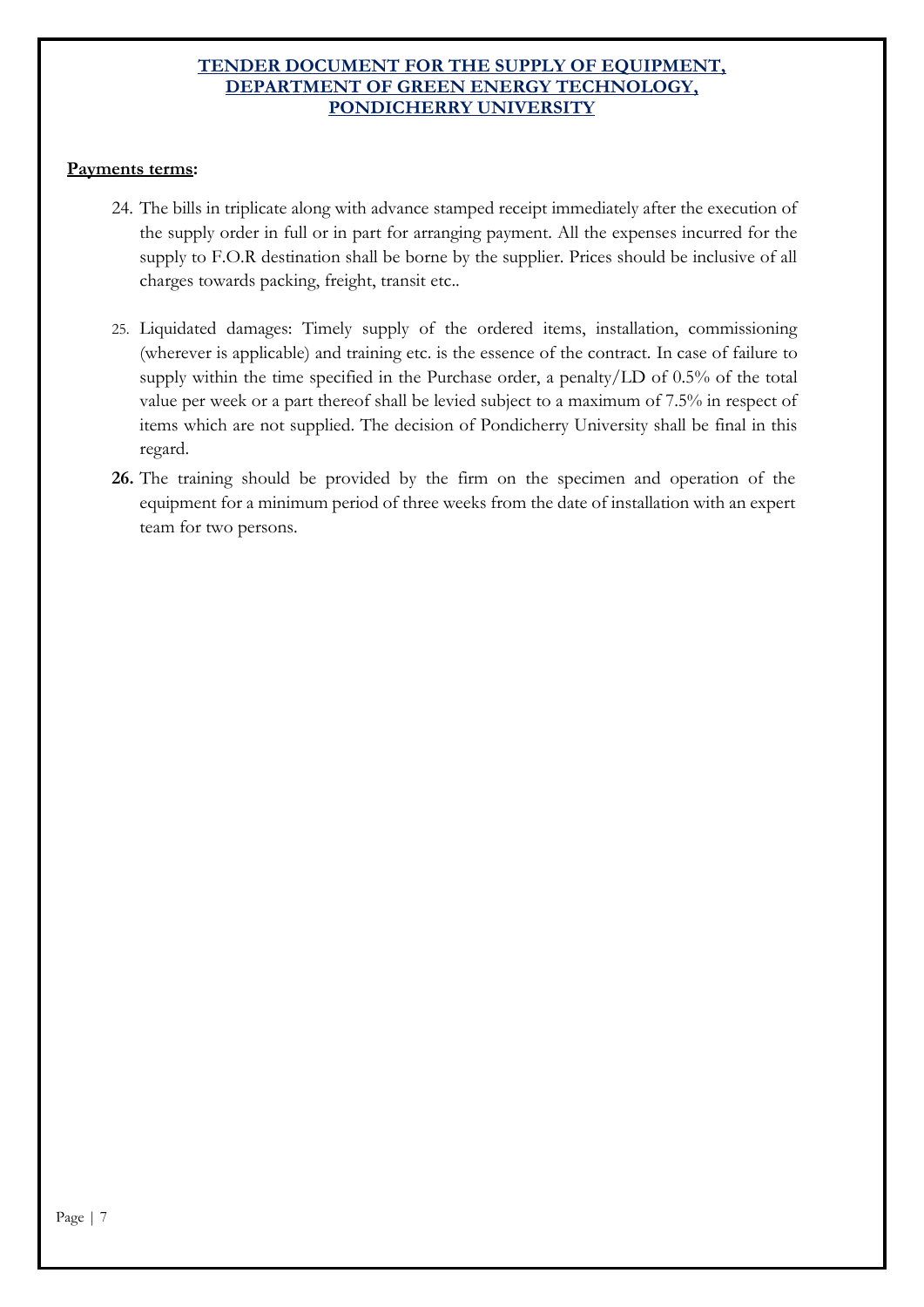#### **Payments terms:**

- 24. The bills in triplicate along with advance stamped receipt immediately after the execution of the supply order in full or in part for arranging payment. All the expenses incurred for the supply to F.O.R destination shall be borne by the supplier. Prices should be inclusive of all charges towards packing, freight, transit etc..
- 25. Liquidated damages: Timely supply of the ordered items, installation, commissioning (wherever is applicable) and training etc. is the essence of the contract. In case of failure to supply within the time specified in the Purchase order, a penalty/LD of 0.5% of the total value per week or a part thereof shall be levied subject to a maximum of 7.5% in respect of items which are not supplied. The decision of Pondicherry University shall be final in this regard.
- **26.** The training should be provided by the firm on the specimen and operation of the equipment for a minimum period of three weeks from the date of installation with an expert team for two persons.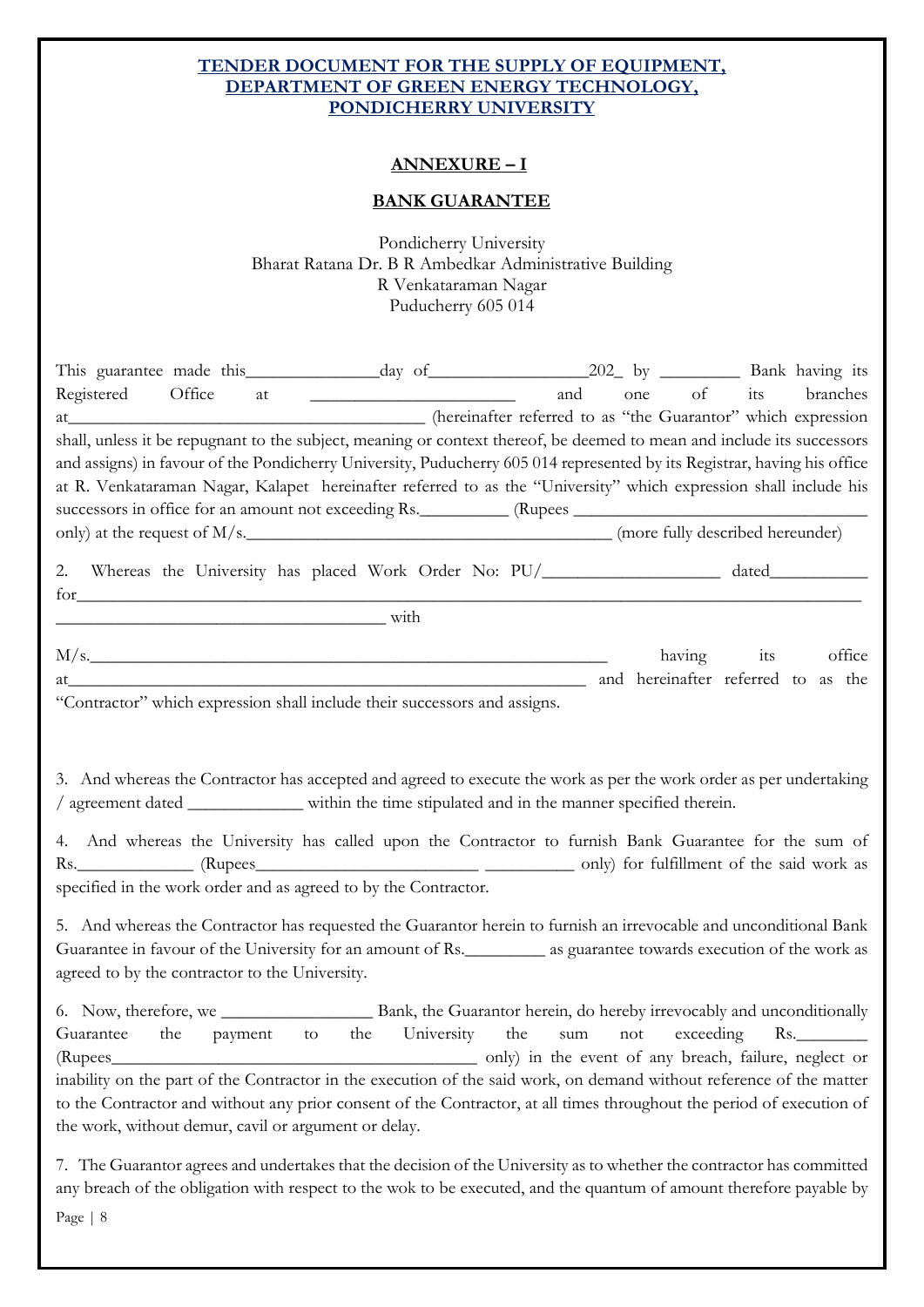#### **ANNEXURE – I**

#### **BANK GUARANTEE**

Pondicherry University Bharat Ratana Dr. B R Ambedkar Administrative Building R Venkataraman Nagar Puducherry 605 014

| Registered Office<br>shall, unless it be repugnant to the subject, meaning or context thereof, be deemed to mean and include its successors<br>and assigns) in favour of the Pondicherry University, Puducherry 605 014 represented by its Registrar, having his office<br>at R. Venkataraman Nagar, Kalapet hereinafter referred to as the "University" which expression shall include his                                                                                                                                                                   |  | and | one | of its branches   |  |
|---------------------------------------------------------------------------------------------------------------------------------------------------------------------------------------------------------------------------------------------------------------------------------------------------------------------------------------------------------------------------------------------------------------------------------------------------------------------------------------------------------------------------------------------------------------|--|-----|-----|-------------------|--|
| 2. Whereas the University has placed Work Order No: PU/_________________ dated__________                                                                                                                                                                                                                                                                                                                                                                                                                                                                      |  |     |     |                   |  |
| for                                                                                                                                                                                                                                                                                                                                                                                                                                                                                                                                                           |  |     |     |                   |  |
| M/s.<br>and hereinafter referred to as the<br>at                                                                                                                                                                                                                                                                                                                                                                                                                                                                                                              |  |     |     | having its office |  |
| "Contractor" which expression shall include their successors and assigns.                                                                                                                                                                                                                                                                                                                                                                                                                                                                                     |  |     |     |                   |  |
| 3. And whereas the Contractor has accepted and agreed to execute the work as per the work order as per undertaking<br>/ agreement dated ______________ within the time stipulated and in the manner specified therein.<br>4. And whereas the University has called upon the Contractor to furnish Bank Guarantee for the sum of<br>specified in the work order and as agreed to by the Contractor.                                                                                                                                                            |  |     |     |                   |  |
| 5. And whereas the Contractor has requested the Guarantor herein to furnish an irrevocable and unconditional Bank<br>Guarantee in favour of the University for an amount of Rs. __________ as guarantee towards execution of the work as<br>agreed to by the contractor to the University.                                                                                                                                                                                                                                                                    |  |     |     |                   |  |
| 6. Now, therefore, we Bank, the Guarantor herein, do hereby irrevocably and unconditionally<br>the University the<br>Guarantee<br>sum not exceeding Rs.<br>the<br>to<br>payment<br>only) in the event of any breach, failure, neglect or<br>(Rupees_<br>inability on the part of the Contractor in the execution of the said work, on demand without reference of the matter<br>to the Contractor and without any prior consent of the Contractor, at all times throughout the period of execution of<br>the work, without demur, cavil or argument or delay. |  |     |     |                   |  |
| 7. The Guarantor agrees and undertakes that the decision of the University as to whether the contractor has committed<br>any breach of the obligation with respect to the wok to be executed, and the quantum of amount therefore payable by                                                                                                                                                                                                                                                                                                                  |  |     |     |                   |  |

Page | 8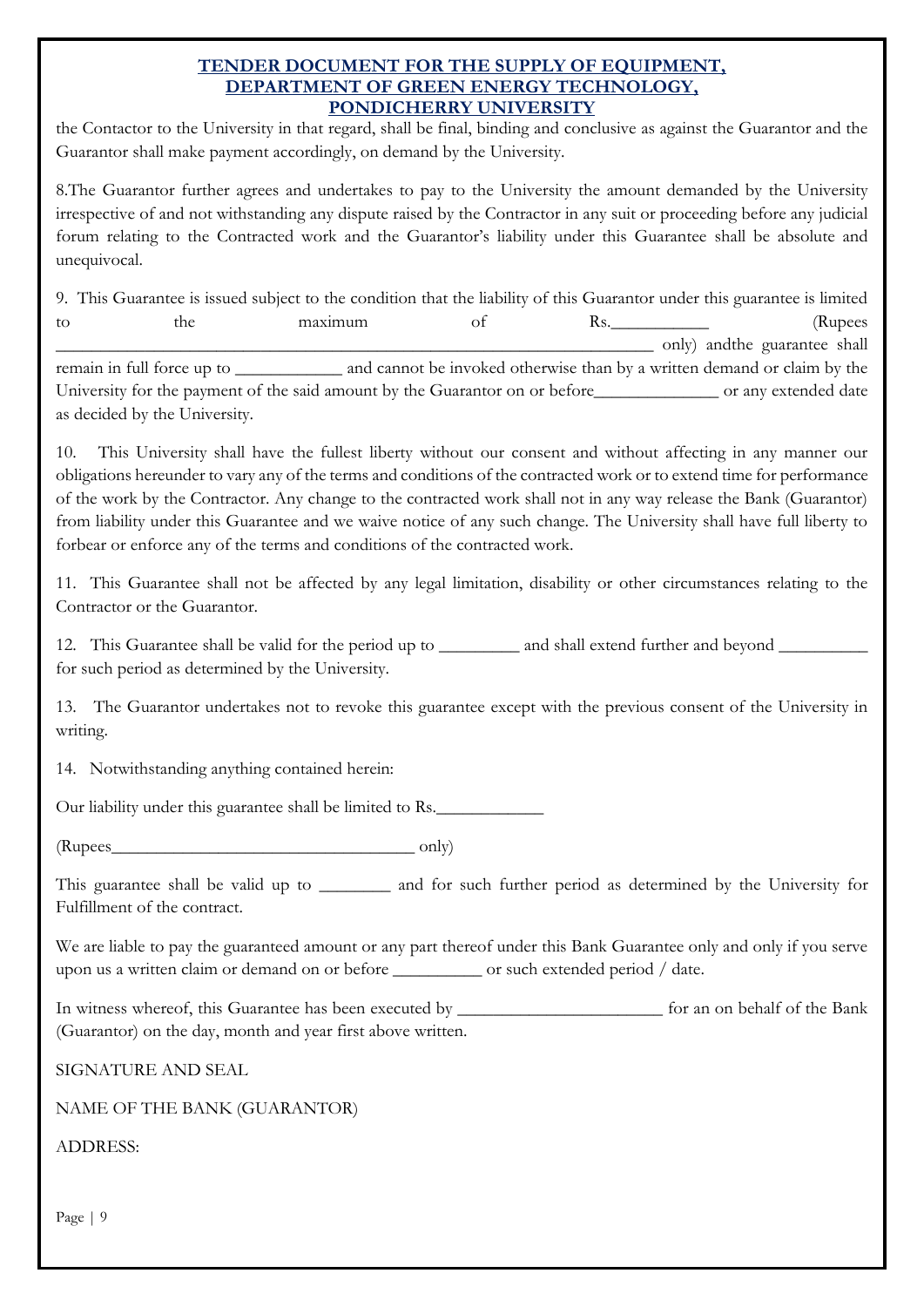the Contactor to the University in that regard, shall be final, binding and conclusive as against the Guarantor and the Guarantor shall make payment accordingly, on demand by the University.

8.The Guarantor further agrees and undertakes to pay to the University the amount demanded by the University irrespective of and not withstanding any dispute raised by the Contractor in any suit or proceeding before any judicial forum relating to the Contracted work and the Guarantor's liability under this Guarantee shall be absolute and unequivocal.

9. This Guarantee is issued subject to the condition that the liability of this Guarantor under this guarantee is limited to the maximum of Rs. (Rupees \_\_\_\_\_\_\_\_\_\_\_\_\_\_\_\_\_\_\_\_\_\_\_\_\_\_\_\_\_\_\_\_\_\_\_\_\_\_\_\_\_\_\_\_\_\_\_\_\_\_\_\_\_\_\_\_\_\_\_\_\_\_\_\_\_\_\_ only) andthe guarantee shall remain in full force up to and cannot be invoked otherwise than by a written demand or claim by the University for the payment of the said amount by the Guarantor on or before\_\_\_\_\_\_\_\_\_\_\_\_\_\_\_\_ or any extended date as decided by the University.

10. This University shall have the fullest liberty without our consent and without affecting in any manner our obligations hereunder to vary any of the terms and conditions of the contracted work or to extend time for performance of the work by the Contractor. Any change to the contracted work shall not in any way release the Bank (Guarantor) from liability under this Guarantee and we waive notice of any such change. The University shall have full liberty to forbear or enforce any of the terms and conditions of the contracted work.

11. This Guarantee shall not be affected by any legal limitation, disability or other circumstances relating to the Contractor or the Guarantor.

12. This Guarantee shall be valid for the period up to \_\_\_\_\_\_\_\_\_ and shall extend further and beyond \_\_\_\_\_\_\_\_\_\_ for such period as determined by the University.

13. The Guarantor undertakes not to revoke this guarantee except with the previous consent of the University in writing.

14. Notwithstanding anything contained herein:

Our liability under this guarantee shall be limited to Rs.

 $(Rupees$  only)

This guarantee shall be valid up to \_\_\_\_\_\_\_\_ and for such further period as determined by the University for Fulfillment of the contract.

We are liable to pay the guaranteed amount or any part thereof under this Bank Guarantee only and only if you serve upon us a written claim or demand on or before \_\_\_\_\_\_\_\_\_\_ or such extended period / date.

In witness whereof, this Guarantee has been executed by \_\_\_\_\_\_\_\_\_\_\_\_\_\_\_\_\_\_\_\_\_\_\_\_\_ for an on behalf of the Bank (Guarantor) on the day, month and year first above written.

SIGNATURE AND SEAL

NAME OF THE BANK (GUARANTOR)

ADDRESS:

Page | 9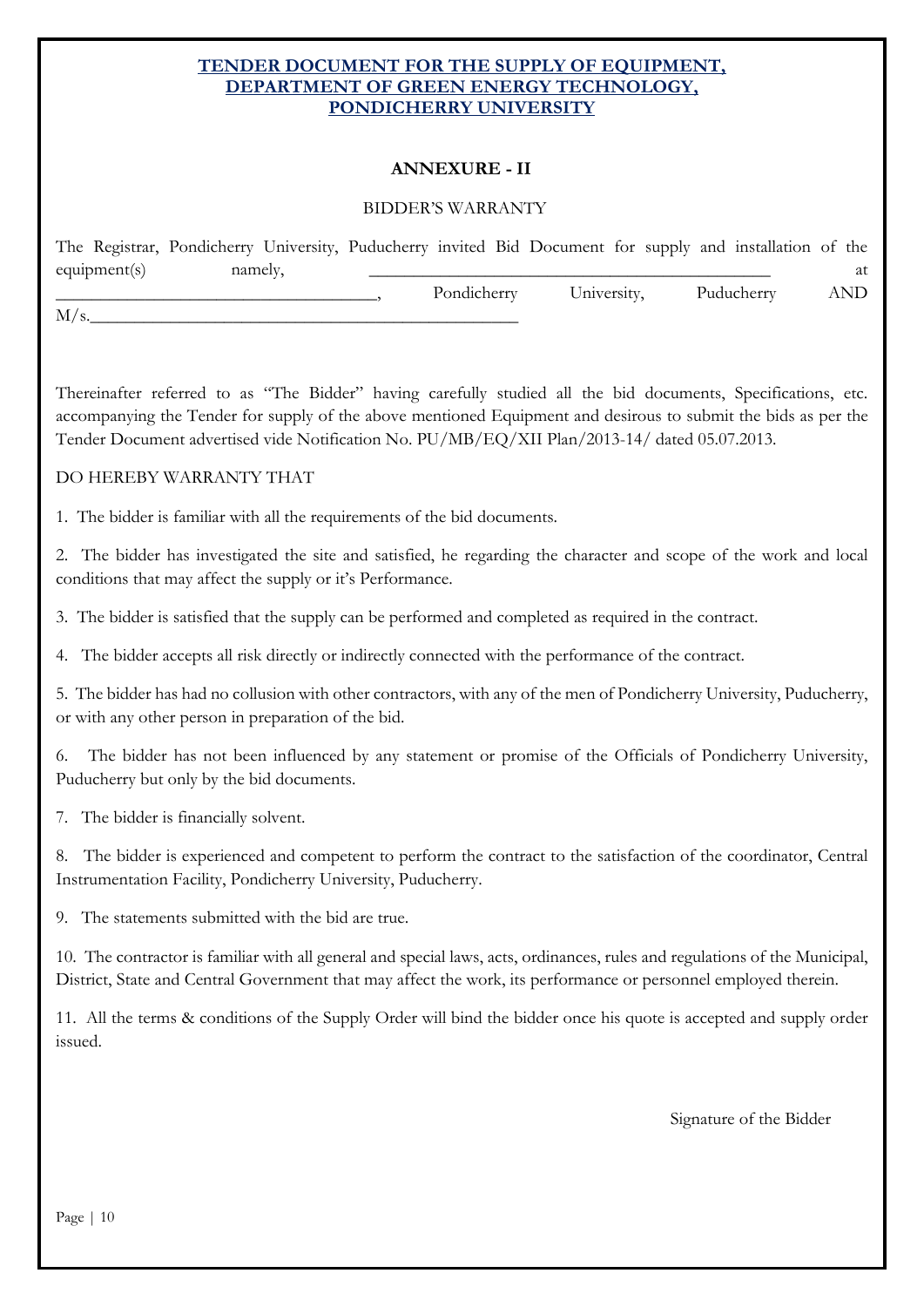#### **ANNEXURE - II**

#### BIDDER'S WARRANTY

|              | The Registrar, Pondicherry University, Puducherry invited Bid Document for supply and installation of the |             |             |            |       |
|--------------|-----------------------------------------------------------------------------------------------------------|-------------|-------------|------------|-------|
| equipment(s) | namely,                                                                                                   |             |             |            | at    |
|              |                                                                                                           | Pondicherry | University, | Puducherry | AND . |
| M/s.         |                                                                                                           |             |             |            |       |

Thereinafter referred to as "The Bidder" having carefully studied all the bid documents, Specifications, etc. accompanying the Tender for supply of the above mentioned Equipment and desirous to submit the bids as per the Tender Document advertised vide Notification No. PU/MB/EQ/XII Plan/2013-14/ dated 05.07.2013.

#### DO HEREBY WARRANTY THAT

1. The bidder is familiar with all the requirements of the bid documents.

2. The bidder has investigated the site and satisfied, he regarding the character and scope of the work and local conditions that may affect the supply or it's Performance.

3. The bidder is satisfied that the supply can be performed and completed as required in the contract.

The bidder accepts all risk directly or indirectly connected with the performance of the contract.

5. The bidder has had no collusion with other contractors, with any of the men of Pondicherry University, Puducherry, or with any other person in preparation of the bid.

The bidder has not been influenced by any statement or promise of the Officials of Pondicherry University, Puducherry but only by the bid documents.

7. The bidder is financially solvent.

8. The bidder is experienced and competent to perform the contract to the satisfaction of the coordinator, Central Instrumentation Facility, Pondicherry University, Puducherry.

9. The statements submitted with the bid are true.

10. The contractor is familiar with all general and special laws, acts, ordinances, rules and regulations of the Municipal, District, State and Central Government that may affect the work, its performance or personnel employed therein.

11. All the terms & conditions of the Supply Order will bind the bidder once his quote is accepted and supply order issued.

Signature of the Bidder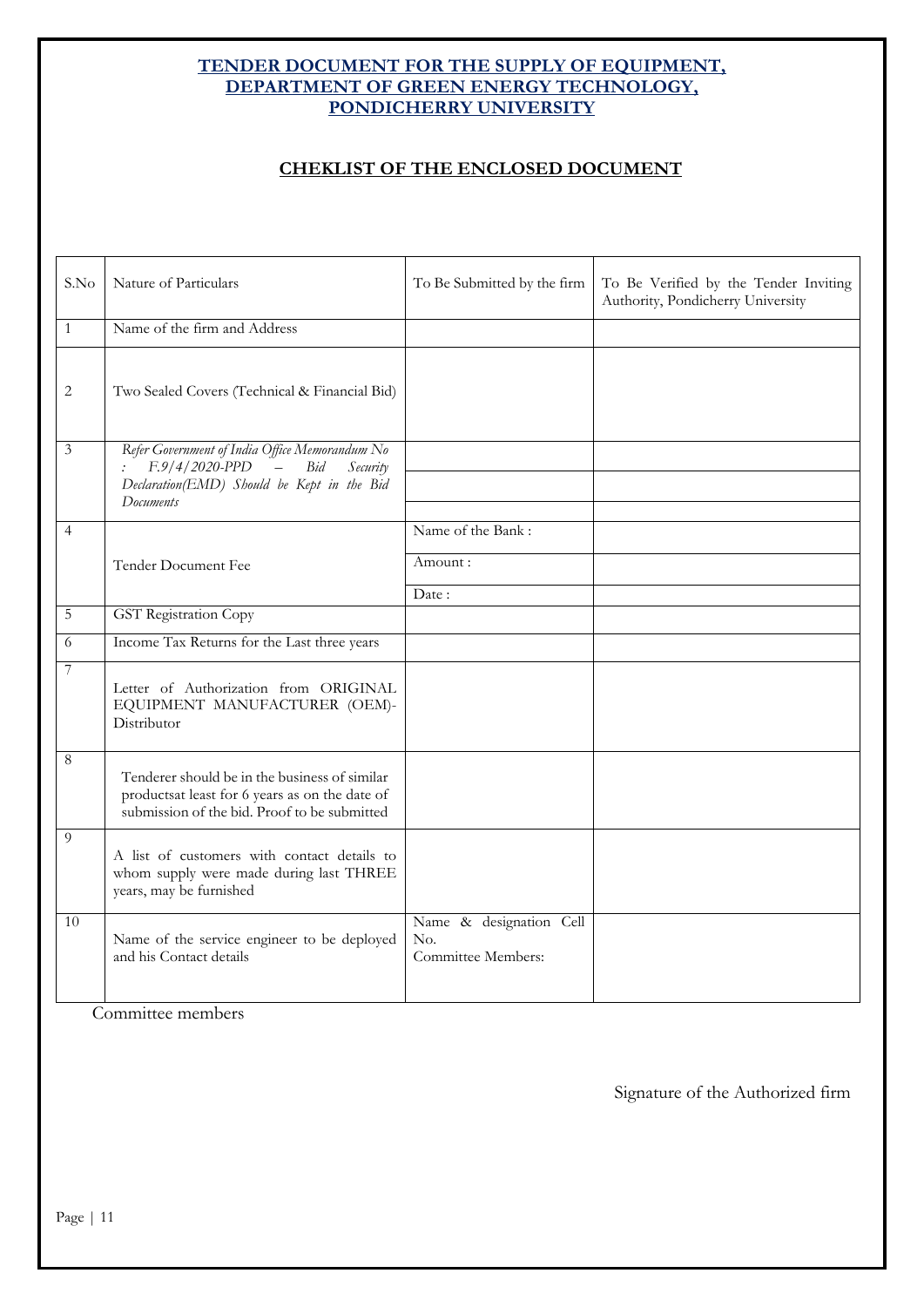#### **CHEKLIST OF THE ENCLOSED DOCUMENT**

| S.No             | Nature of Particulars                                                                                                                           | To Be Submitted by the firm                          | To Be Verified by the Tender Inviting<br>Authority, Pondicherry University |
|------------------|-------------------------------------------------------------------------------------------------------------------------------------------------|------------------------------------------------------|----------------------------------------------------------------------------|
| $\mathbf{1}$     | Name of the firm and Address                                                                                                                    |                                                      |                                                                            |
| $\overline{2}$   | Two Sealed Covers (Technical & Financial Bid)                                                                                                   |                                                      |                                                                            |
| $\mathfrak{Z}$   | Refer Government of India Office Memorandum No<br>$F.9/4/2020-PPD$ - Bid<br>Security<br>Declaration(EMD) Should be Kept in the Bid<br>Documents |                                                      |                                                                            |
| $\overline{4}$   |                                                                                                                                                 | Name of the Bank:                                    |                                                                            |
|                  | Tender Document Fee                                                                                                                             | Amount:                                              |                                                                            |
|                  |                                                                                                                                                 | Date:                                                |                                                                            |
| $\overline{5}$   | <b>GST</b> Registration Copy                                                                                                                    |                                                      |                                                                            |
| 6                | Income Tax Returns for the Last three years                                                                                                     |                                                      |                                                                            |
| $\boldsymbol{7}$ | Letter of Authorization from ORIGINAL<br>EQUIPMENT MANUFACTURER (OEM)-<br>Distributor                                                           |                                                      |                                                                            |
| $\,8\,$          | Tenderer should be in the business of similar<br>productsat least for 6 years as on the date of<br>submission of the bid. Proof to be submitted |                                                      |                                                                            |
| 9                | A list of customers with contact details to<br>whom supply were made during last THREE<br>years, may be furnished                               |                                                      |                                                                            |
| 10               | Name of the service engineer to be deployed<br>and his Contact details                                                                          | Name & designation Cell<br>No.<br>Committee Members: |                                                                            |

Committee members

Signature of the Authorized firm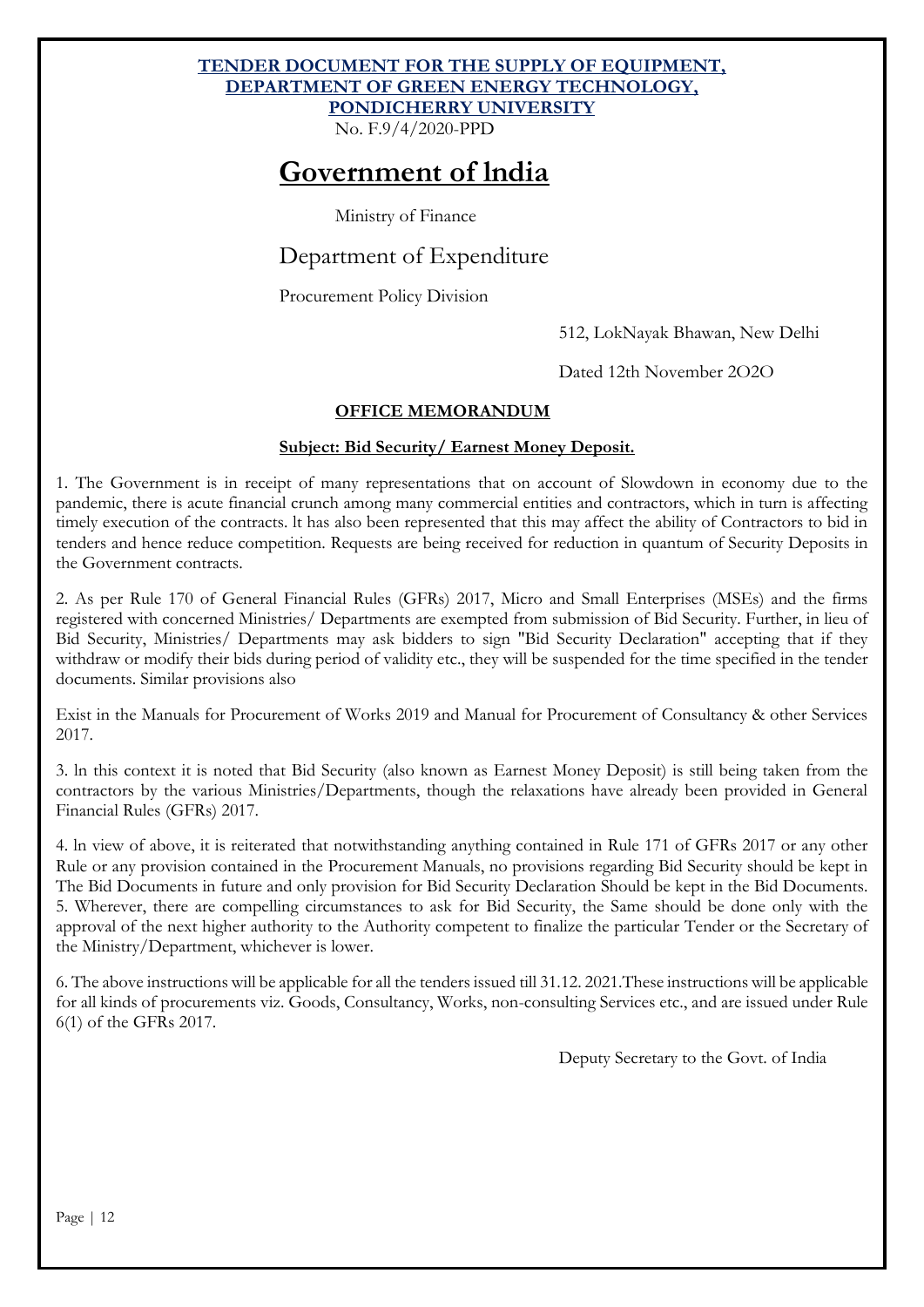No. F.9/4/2020-PPD

# **Government of lndia**

Ministry of Finance

### Department of Expenditure

Procurement Policy Division

512, LokNayak Bhawan, New Delhi

Dated 12th November 2O2O

#### **OFFICE MEMORANDUM**

#### **Subject: Bid Security/ Earnest Money Deposit.**

1. The Government is in receipt of many representations that on account of Slowdown in economy due to the pandemic, there is acute financial crunch among many commercial entities and contractors, which in turn is affecting timely execution of the contracts. lt has also been represented that this may affect the ability of Contractors to bid in tenders and hence reduce competition. Requests are being received for reduction in quantum of Security Deposits in the Government contracts.

2. As per Rule 170 of General Financial Rules (GFRs) 2017, Micro and Small Enterprises (MSEs) and the firms registered with concerned Ministries/ Departments are exempted from submission of Bid Security. Further, in lieu of Bid Security, Ministries/ Departments may ask bidders to sign "Bid Security Declaration" accepting that if they withdraw or modify their bids during period of validity etc., they will be suspended for the time specified in the tender documents. Similar provisions also

Exist in the Manuals for Procurement of Works 2019 and Manual for Procurement of Consultancy & other Services 2017.

3. ln this context it is noted that Bid Security (also known as Earnest Money Deposit) is still being taken from the contractors by the various Ministries/Departments, though the relaxations have already been provided in General Financial Rules (GFRs) 2017.

4. ln view of above, it is reiterated that notwithstanding anything contained in Rule 171 of GFRs 2017 or any other Rule or any provision contained in the Procurement Manuals, no provisions regarding Bid Security should be kept in The Bid Documents in future and only provision for Bid Security Declaration Should be kept in the Bid Documents. 5. Wherever, there are compelling circumstances to ask for Bid Security, the Same should be done only with the approval of the next higher authority to the Authority competent to finalize the particular Tender or the Secretary of the Ministry/Department, whichever is lower.

6. The above instructions will be applicable for all the tenders issued till 31.12. 2021.These instructions will be applicable for all kinds of procurements viz. Goods, Consultancy, Works, non-consulting Services etc., and are issued under Rule 6(1) of the GFRs 2017.

Deputy Secretary to the Govt. of India